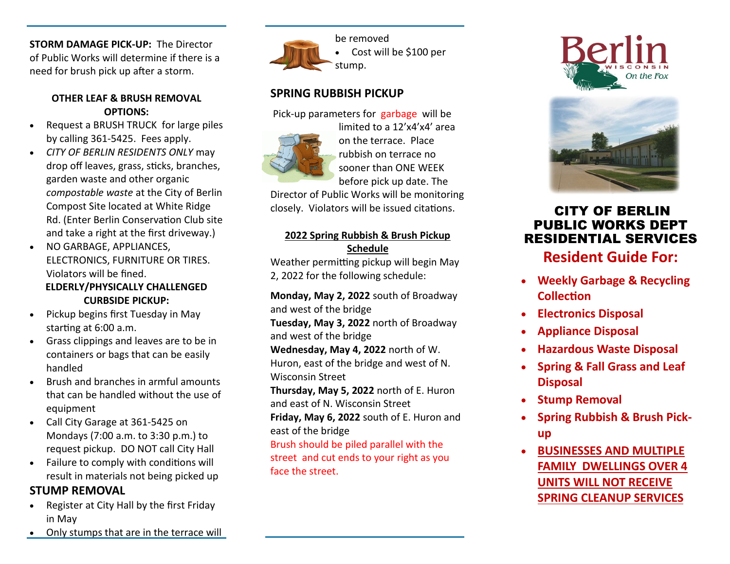**STORM DAMAGE PICK-UP:** The Director of Public Works will determine if there is a need for brush pick up after a storm.

#### **OTHER LEAF & BRUSH REMOVAL OPTIONS:**

- Request a BRUSH TRUCK for large piles by calling 361-5425. Fees apply.
- *CITY OF BERLIN RESIDENTS ONLY* may drop off leaves, grass, sticks, branches, garden waste and other organic *compostable waste* at the City of Berlin Compost Site located at White Ridge Rd. (Enter Berlin Conservation Club site and take a right at the first driveway.)
- NO GARBAGE, APPLIANCES, ELECTRONICS, FURNITURE OR TIRES. Violators will be fined. **ELDERLY/PHYSICALLY CHALLENGED CURBSIDE PICKUP:**
- Pickup begins first Tuesday in May starting at 6:00 a.m.
- Grass clippings and leaves are to be in containers or bags that can be easily handled
- Brush and branches in armful amounts that can be handled without the use of equipment
- Call City Garage at 361-5425 on Mondays (7:00 a.m. to 3:30 p.m.) to request pickup. DO NOT call City Hall
- Failure to comply with conditions will result in materials not being picked up

## **STUMP REMOVAL**

- Register at City Hall by the first Friday in May
- Only stumps that are in the terrace will



be removed Cost will be \$100 per

## **SPRING RUBBISH PICKUP**

Pick-up parameters for garbage will be



limited to a 12'x4'x4' area on the terrace. Place rubbish on terrace no sooner than ONE WEEK before pick up date. The

Director of Public Works will be monitoring closely. Violators will be issued citations.

### **2022 Spring Rubbish & Brush Pickup Schedule**

Weather permitting pickup will begin May 2, 2022 for the following schedule:

**Monday, May 2, 2022** south of Broadway and west of the bridge

**Tuesday, May 3, 2022** north of Broadway and west of the bridge

**Wednesday, May 4, 2022** north of W. Huron, east of the bridge and west of N. Wisconsin Street

**Thursday, May 5, 2022** north of E. Huron and east of N. Wisconsin Street

**Friday, May 6, 2022** south of E. Huron and east of the bridge

Brush should be piled parallel with the street and cut ends to your right as you face the street.





## CITY OF BERLIN PUBLIC WORKS DEPT RESIDENTIAL SERVICES

**Resident Guide For:** 

- **Weekly Garbage & Recycling Collection**
- **Electronics Disposal**
- **Appliance Disposal**
- **Hazardous Waste Disposal**
- **Spring & Fall Grass and Leaf Disposal**
- **Stump Removal**
- **Spring Rubbish & Brush Pickup**
- **BUSINESSES AND MULTIPLE FAMILY DWELLINGS OVER 4 UNITS WILL NOT RECEIVE SPRING CLEANUP SERVICES**